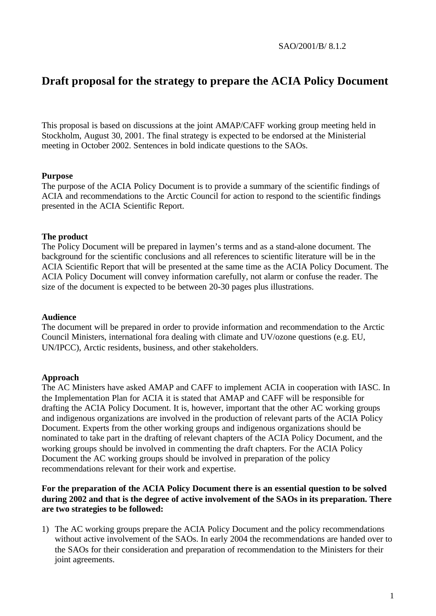SAO/2001/B/ 8.1.2

# **Draft proposal for the strategy to prepare the ACIA Policy Document**

This proposal is based on discussions at the joint AMAP/CAFF working group meeting held in Stockholm, August 30, 2001. The final strategy is expected to be endorsed at the Ministerial meeting in October 2002. Sentences in bold indicate questions to the SAOs.

#### **Purpose**

The purpose of the ACIA Policy Document is to provide a summary of the scientific findings of ACIA and recommendations to the Arctic Council for action to respond to the scientific findings presented in the ACIA Scientific Report.

## **The product**

The Policy Document will be prepared in laymen's terms and as a stand-alone document. The background for the scientific conclusions and all references to scientific literature will be in the ACIA Scientific Report that will be presented at the same time as the ACIA Policy Document. The ACIA Policy Document will convey information carefully, not alarm or confuse the reader. The size of the document is expected to be between 20-30 pages plus illustrations.

#### **Audience**

The document will be prepared in order to provide information and recommendation to the Arctic Council Ministers, international fora dealing with climate and UV/ozone questions (e.g. EU, UN/IPCC), Arctic residents, business, and other stakeholders.

#### **Approach**

The AC Ministers have asked AMAP and CAFF to implement ACIA in cooperation with IASC. In the Implementation Plan for ACIA it is stated that AMAP and CAFF will be responsible for drafting the ACIA Policy Document. It is, however, important that the other AC working groups and indigenous organizations are involved in the production of relevant parts of the ACIA Policy Document. Experts from the other working groups and indigenous organizations should be nominated to take part in the drafting of relevant chapters of the ACIA Policy Document, and the working groups should be involved in commenting the draft chapters. For the ACIA Policy Document the AC working groups should be involved in preparation of the policy recommendations relevant for their work and expertise.

# **For the preparation of the ACIA Policy Document there is an essential question to be solved during 2002 and that is the degree of active involvement of the SAOs in its preparation. There are two strategies to be followed:**

1) The AC working groups prepare the ACIA Policy Document and the policy recommendations without active involvement of the SAOs. In early 2004 the recommendations are handed over to the SAOs for their consideration and preparation of recommendation to the Ministers for their joint agreements.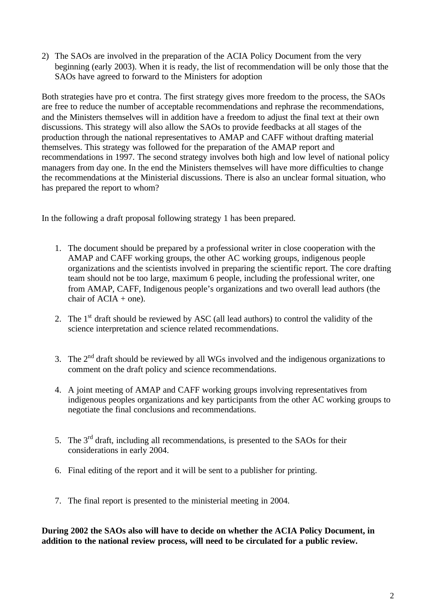2) The SAOs are involved in the preparation of the ACIA Policy Document from the very beginning (early 2003). When it is ready, the list of recommendation will be only those that the SAOs have agreed to forward to the Ministers for adoption

Both strategies have pro et contra. The first strategy gives more freedom to the process, the SAOs are free to reduce the number of acceptable recommendations and rephrase the recommendations, and the Ministers themselves will in addition have a freedom to adjust the final text at their own discussions. This strategy will also allow the SAOs to provide feedbacks at all stages of the production through the national representatives to AMAP and CAFF without drafting material themselves. This strategy was followed for the preparation of the AMAP report and recommendations in 1997. The second strategy involves both high and low level of national policy managers from day one. In the end the Ministers themselves will have more difficulties to change the recommendations at the Ministerial discussions. There is also an unclear formal situation, who has prepared the report to whom?

In the following a draft proposal following strategy 1 has been prepared.

- 1. The document should be prepared by a professional writer in close cooperation with the AMAP and CAFF working groups, the other AC working groups, indigenous people organizations and the scientists involved in preparing the scientific report. The core drafting team should not be too large, maximum 6 people, including the professional writer, one from AMAP, CAFF, Indigenous people's organizations and two overall lead authors (the chair of  $ACIA +$  one).
- 2. The  $1<sup>st</sup>$  draft should be reviewed by ASC (all lead authors) to control the validity of the science interpretation and science related recommendations.
- 3. The  $2<sup>nd</sup>$  draft should be reviewed by all WGs involved and the indigenous organizations to comment on the draft policy and science recommendations.
- 4. A joint meeting of AMAP and CAFF working groups involving representatives from indigenous peoples organizations and key participants from the other AC working groups to negotiate the final conclusions and recommendations.
- 5. The  $3<sup>rd</sup>$  draft, including all recommendations, is presented to the SAOs for their considerations in early 2004.
- 6. Final editing of the report and it will be sent to a publisher for printing.
- 7. The final report is presented to the ministerial meeting in 2004.

**During 2002 the SAOs also will have to decide on whether the ACIA Policy Document, in addition to the national review process, will need to be circulated for a public review.**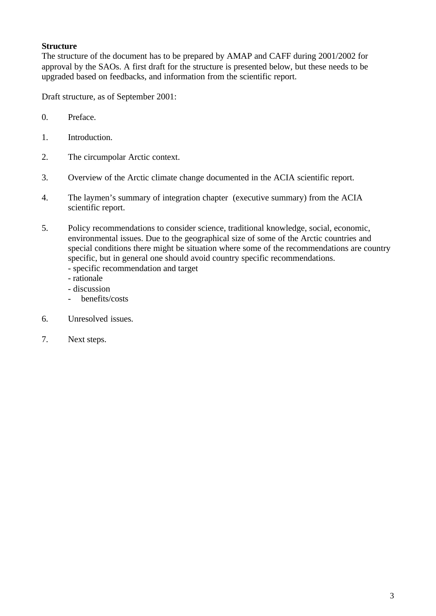# **Structure**

The structure of the document has to be prepared by AMAP and CAFF during 2001/2002 for approval by the SAOs. A first draft for the structure is presented below, but these needs to be upgraded based on feedbacks, and information from the scientific report.

Draft structure, as of September 2001:

- 0. Preface.
- 1. Introduction.
- 2. The circumpolar Arctic context.
- 3. Overview of the Arctic climate change documented in the ACIA scientific report.
- 4. The laymen's summary of integration chapter (executive summary) from the ACIA scientific report.
- 5. Policy recommendations to consider science, traditional knowledge, social, economic, environmental issues. Due to the geographical size of some of the Arctic countries and special conditions there might be situation where some of the recommendations are country specific, but in general one should avoid country specific recommendations.
	- specific recommendation and target
	- rationale
	- discussion
	- benefits/costs
- 6. Unresolved issues.
- 7. Next steps.